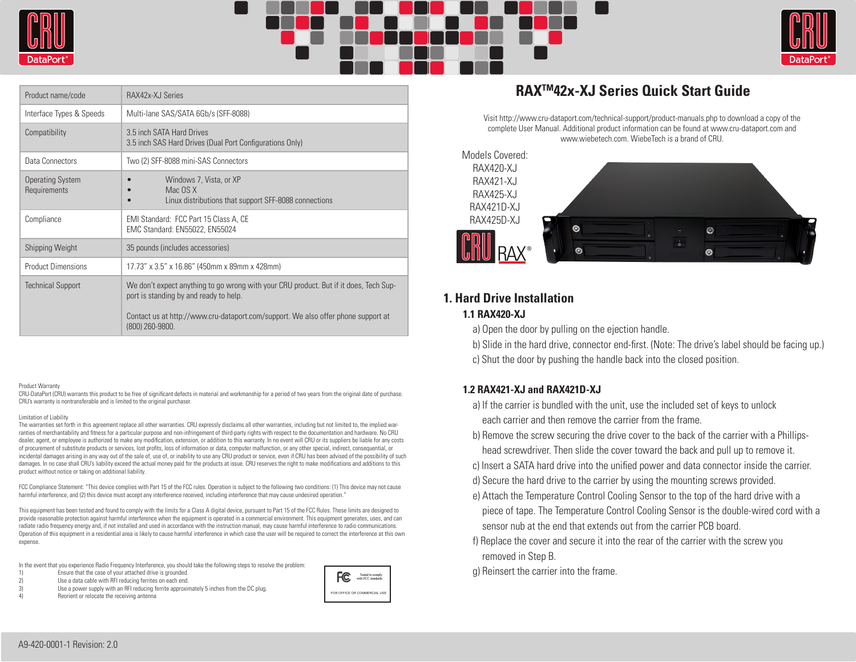





| Product name/code                       | RAX42x-XJ Series                                                                                                                                                                                                                        |
|-----------------------------------------|-----------------------------------------------------------------------------------------------------------------------------------------------------------------------------------------------------------------------------------------|
| Interface Types & Speeds                | Multi-lane SAS/SATA 6Gb/s (SFF-8088)                                                                                                                                                                                                    |
| Compatibility                           | 3.5 inch SATA Hard Drives<br>3.5 inch SAS Hard Drives (Dual Port Configurations Only)                                                                                                                                                   |
| Data Connectors                         | Two (2) SFF-8088 mini-SAS Connectors                                                                                                                                                                                                    |
| <b>Operating System</b><br>Requirements | Windows 7, Vista, or XP<br>Mac OS X<br>Linux distributions that support SFF-8088 connections                                                                                                                                            |
| Compliance                              | EMI Standard: FCC Part 15 Class A, CE<br>EMC Standard: EN55022, EN55024                                                                                                                                                                 |
| <b>Shipping Weight</b>                  | 35 pounds (includes accessories)                                                                                                                                                                                                        |
| <b>Product Dimensions</b>               | 17.73" x 3.5" x 16.86" (450mm x 89mm x 428mm)                                                                                                                                                                                           |
| <b>Technical Support</b>                | We don't expect anything to go wrong with your CRU product. But if it does, Tech Sup-<br>port is standing by and ready to help.<br>Contact us at http://www.cru-dataport.com/support. We also offer phone support at<br>(800) 260-9800. |

### Product Warranty

CRU-DataPort (CRU) warrants this product to be free of significant defects in material and workmanship for a period of two years from the original date of purchase. CRU's warranty is nontransferable and is limited to the original purchaser.

#### Limitation of Liability

The warranties set forth in this agreement replace all other warranties. CRU expressly disclaims all other warranties, including but not limited to, the implied warranties of merchantability and fitness for a particular purpose and non-infringement of third-party rights with respect to the documentation and hardware. No CRU dealer, agent, or employee is authorized to make any modification, extension, or addition to this warranty. In no event will CRU or its suppliers be liable for any costs of procurement of substitute products or services, lost profits, loss of information or data, computer malfunction, or any other special, indirect, consequential, or incidental damages arising in any way out of the sale of, use of, or inability to use any CRU product or service, even if CRU has been advised of the possibility of such damages. In no case shall CRU's liability exceed the actual money paid for the products at issue. CRU reserves the right to make modifications and additions to this product without notice or taking on additional liability.

FCC Compliance Statement: "This device complies with Part 15 of the FCC rules. Operation is subject to the following two conditions: (1) This device may not cause harmful interference, and (2) this device must accept any interference received, including interference that may cause undesired operation."

This equipment has been tested and found to comply with the limits for a Class A digital device, pursuant to Part 15 of the FCC Rules. These limits are designed to provide reasonable protection against harmful interference when the equipment is operated in a commercial environment. This equipment generates, uses, and can radiate radio frequency energy and, if not installed and used in accordance with the instruction manual, may cause harmful interference to radio communications. Operation of this equipment in a residential area is likely to cause harmful interference in which case the user will be required to correct the interference at this own expense.

In the event that you experience Radio Frequency Interference, you should take the following steps to resolve the problem:

- 1) Ensure that the case of your attached drive is grounded.<br>2) Use a data cable with RFI reducing ferrites on each end.
- Use a data cable with RFI reducing ferrites on each end.
- 3) Use a power supply with an RFI reducing ferrite approximately 5 inches from the DC plug.
- Reorient or relocate the receiving antenna



# **RAXTM42x-XJ Series Quick Start Guide**

Visit http://www.cru-dataport.com/technical-support/product-manuals.php to download a copy of the complete User Manual. Additional product information can be found at www.cru-dataport.com and www.wiebetech.com. WiebeTech is a brand of CRU.



# **1. Hard Drive Installation**

# **1.1 RAX420-XJ**

a) Open the door by pulling on the ejection handle.

- b) Slide in the hard drive, connector end-first. (Note: The drive's label should be facing up.)
- c) Shut the door by pushing the handle back into the closed position.

## **1.2 RAX421-XJ and RAX421D-XJ**

- a) If the carrier is bundled with the unit, use the included set of keys to unlock each carrier and then remove the carrier from the frame.
- b) Remove the screw securing the drive cover to the back of the carrier with a Phillips head screwdriver. Then slide the cover toward the back and pull up to remove it.
- c) Insert a SATA hard drive into the unified power and data connector inside the carrier.
- d) Secure the hard drive to the carrier by using the mounting screws provided.
- e) Attach the Temperature Control Cooling Sensor to the top of the hard drive with a piece of tape. The Temperature Control Cooling Sensor is the double-wired cord with a sensor nub at the end that extends out from the carrier PCB board.
- f) Replace the cover and secure it into the rear of the carrier with the screw you removed in Step B.

g) Reinsert the carrier into the frame.